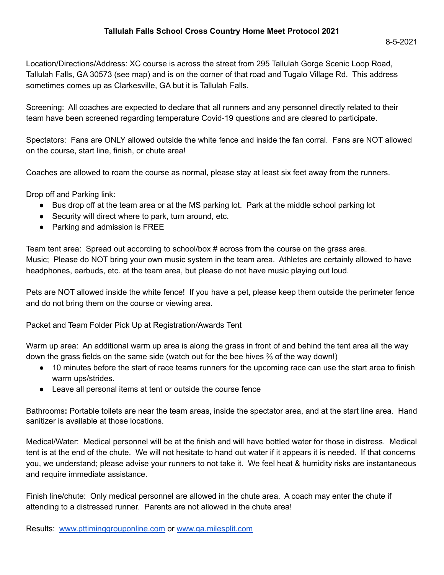Location/Directions/Address: XC course is across the street from 295 Tallulah Gorge Scenic Loop Road, Tallulah Falls, GA 30573 (see map) and is on the corner of that road and Tugalo Village Rd. This address sometimes comes up as Clarkesville, GA but it is Tallulah Falls.

Screening: All coaches are expected to declare that all runners and any personnel directly related to their team have been screened regarding temperature Covid-19 questions and are cleared to participate.

Spectators: Fans are ONLY allowed outside the white fence and inside the fan corral. Fans are NOT allowed on the course, start line, finish, or chute area!

Coaches are allowed to roam the course as normal, please stay at least six feet away from the runners.

Drop off and Parking link:

- Bus drop off at the team area or at the MS parking lot. Park at the middle school parking lot
- Security will direct where to park, turn around, etc.
- Parking and admission is FREE

Team tent area: Spread out according to school/box # across from the course on the grass area. Music; Please do NOT bring your own music system in the team area. Athletes are certainly allowed to have headphones, earbuds, etc. at the team area, but please do not have music playing out loud.

Pets are NOT allowed inside the white fence! If you have a pet, please keep them outside the perimeter fence and do not bring them on the course or viewing area.

Packet and Team Folder Pick Up at Registration/Awards Tent

Warm up area: An additional warm up area is along the grass in front of and behind the tent area all the way down the grass fields on the same side (watch out for the bee hives ⅔ of the way down!)

- 10 minutes before the start of race teams runners for the upcoming race can use the start area to finish warm ups/strides.
- Leave all personal items at tent or outside the course fence

Bathrooms**:** Portable toilets are near the team areas, inside the spectator area, and at the start line area. Hand sanitizer is available at those locations.

Medical/Water: Medical personnel will be at the finish and will have bottled water for those in distress. Medical tent is at the end of the chute. We will not hesitate to hand out water if it appears it is needed. If that concerns you, we understand; please advise your runners to not take it. We feel heat & humidity risks are instantaneous and require immediate assistance.

Finish line/chute: Only medical personnel are allowed in the chute area. A coach may enter the chute if attending to a distressed runner. Parents are not allowed in the chute area!

Results: [www.pttiminggrouponline.com](http://www.pttiminggrouponline.com) or [www.ga.milesplit.com](http://www.ga.milesplit.com)